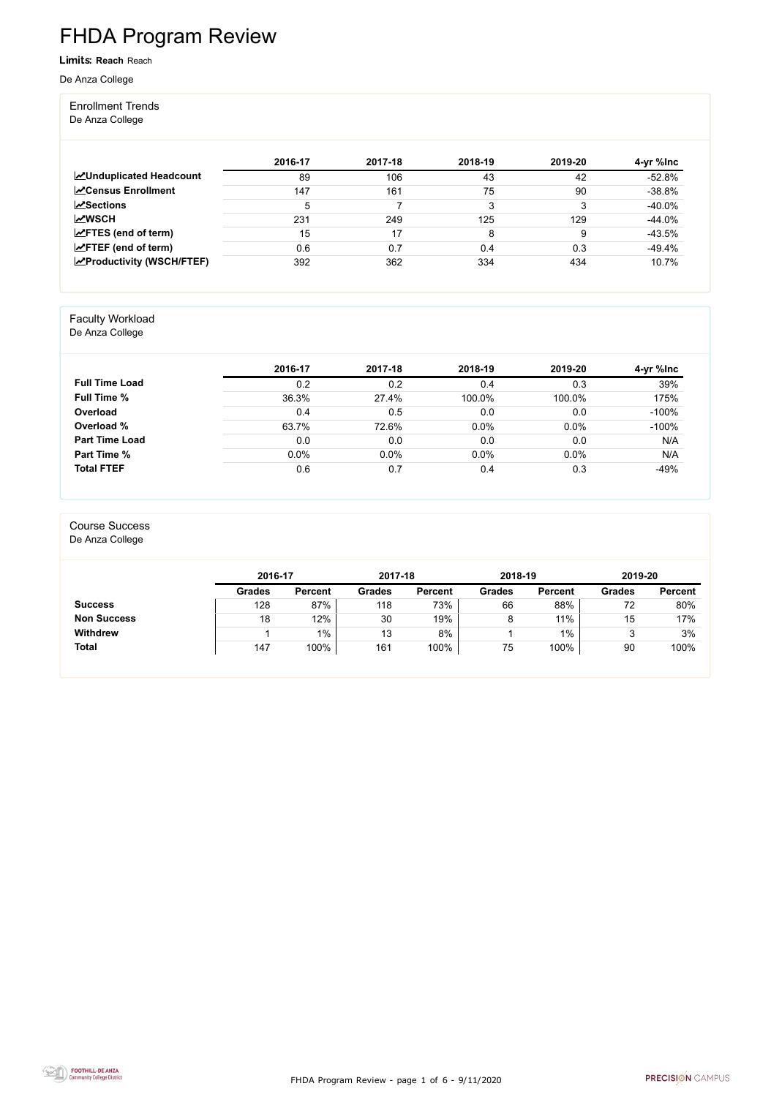FHDA Program Review - page 1 of 6 - 9/11/2020



# FHDA Program Review

Limits: **Reach** Reach

De Anza College

#### Enrollment Trends

De Anza College

|                                   | 2016-17 | 2017-18 | 2018-19 | 2019-20 | 4-yr %lnc |
|-----------------------------------|---------|---------|---------|---------|-----------|
| <b>MUnduplicated Headcount</b>    | 89      | 106     | 43      | 42      | $-52.8%$  |
| <b>ZCensus Enrollment</b>         | 147     | 161     | 75      | 90      | $-38.8%$  |
| $\mathbf{z}$ Sections             | 5       |         | 3       | 3       | $-40.0\%$ |
| <b>MWSCH</b>                      | 231     | 249     | 125     | 129     | $-44.0\%$ |
| $\angle$ FTES (end of term)       | 15      | 17      | 8       | 9       | $-43.5%$  |
| $\angle$ FTEF (end of term)       | 0.6     | 0.7     | 0.4     | 0.3     | $-49.4\%$ |
| <b>EXProductivity (WSCH/FTEF)</b> | 392     | 362     | 334     | 434     | 10.7%     |

#### Faculty Workload

De Anza College

|                       | 2016-17 | 2017-18 | 2018-19 | 2019-20 | 4-yr %lnc |
|-----------------------|---------|---------|---------|---------|-----------|
| <b>Full Time Load</b> | 0.2     | 0.2     | 0.4     | 0.3     | 39%       |
| <b>Full Time %</b>    | 36.3%   | 27.4%   | 100.0%  | 100.0%  | 175%      |
| Overload              | 0.4     | 0.5     | 0.0     | 0.0     | $-100%$   |
| Overload %            | 63.7%   | 72.6%   | 0.0%    | 0.0%    | $-100%$   |
| <b>Part Time Load</b> | 0.0     | 0.0     | 0.0     | 0.0     | N/A       |
| <b>Part Time %</b>    | 0.0%    | 0.0%    | 0.0%    | 0.0%    | N/A       |
| <b>Total FTEF</b>     | 0.6     | 0.7     | 0.4     | 0.3     | $-49%$    |

#### Course Success

De Anza College

|                    | 2016-17       |                | 2017-18       |                | 2018-19       |                | 2019-20       |                |
|--------------------|---------------|----------------|---------------|----------------|---------------|----------------|---------------|----------------|
|                    | <b>Grades</b> | <b>Percent</b> | <b>Grades</b> | <b>Percent</b> | <b>Grades</b> | <b>Percent</b> | <b>Grades</b> | <b>Percent</b> |
| <b>Success</b>     | 128           | 87%            | 118           | 73%            | 66            | 88%            | 72            | 80%            |
| <b>Non Success</b> | 18            | 12%            | 30            | 19%            | 8             | 11%            | 15            | 17%            |
| <b>Withdrew</b>    |               | $1\%$          | 13            | 8%             |               | $1\%$          |               | 3%             |
| <b>Total</b>       | 147           | 100%           | 161           | 100%           | 75            | 100%           | 90            | 100%           |

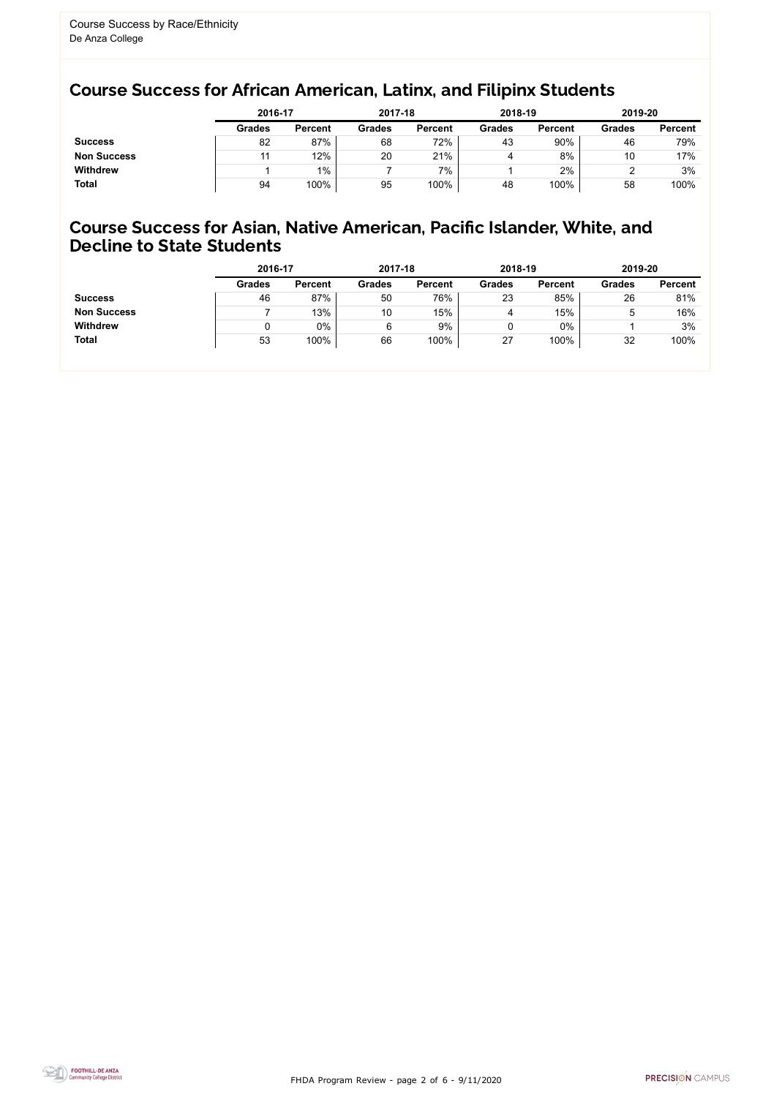FHDA Program Review - page 2 of 6 - 9/11/2020



## Course Success for African American, Latinx, and Filipinx Students

#### Course Success for Asian, Native American, Pacific Islander, White, and Decline to State Students

|                    | 2016-17       |                |               | 2017-18        |               | 2018-19        | 2019-20       |                |
|--------------------|---------------|----------------|---------------|----------------|---------------|----------------|---------------|----------------|
|                    | <b>Grades</b> | <b>Percent</b> | <b>Grades</b> | <b>Percent</b> | <b>Grades</b> | <b>Percent</b> | <b>Grades</b> | <b>Percent</b> |
| <b>Success</b>     | 82            | 87%            | 68            | 72%            | 43            | 90%            | 46            | 79%            |
| <b>Non Success</b> |               | 12%            | 20            | 21%            | 4             | 8%             | 10            | 17%            |
| <b>Withdrew</b>    |               | $1\%$          |               | 7%             |               | 2%             |               | 3%             |
| <b>Total</b>       | 94            | 100%           | 95            | 100%           | 48            | 100%           | 58            | 100%           |

|                    | 2016-17       |                |               | 2017-18        |               | 2018-19        |               | 2019-20        |
|--------------------|---------------|----------------|---------------|----------------|---------------|----------------|---------------|----------------|
|                    | <b>Grades</b> | <b>Percent</b> | <b>Grades</b> | <b>Percent</b> | <b>Grades</b> | <b>Percent</b> | <b>Grades</b> | <b>Percent</b> |
| <b>Success</b>     | 46            | 87%            | 50            | 76%            | 23            | 85%            | 26            | 81%            |
| <b>Non Success</b> |               | 13%            | 10            | 15%            | 4             | 15%            | 5             | 16%            |
| <b>Withdrew</b>    |               | $0\%$          | 6             | 9%             | ν             | $0\%$          |               | 3%             |
| <b>Total</b>       | 53            | 100%           | 66            | 100%           | 27            | 100%           | 32            | 100%           |
|                    |               |                |               |                |               |                |               |                |

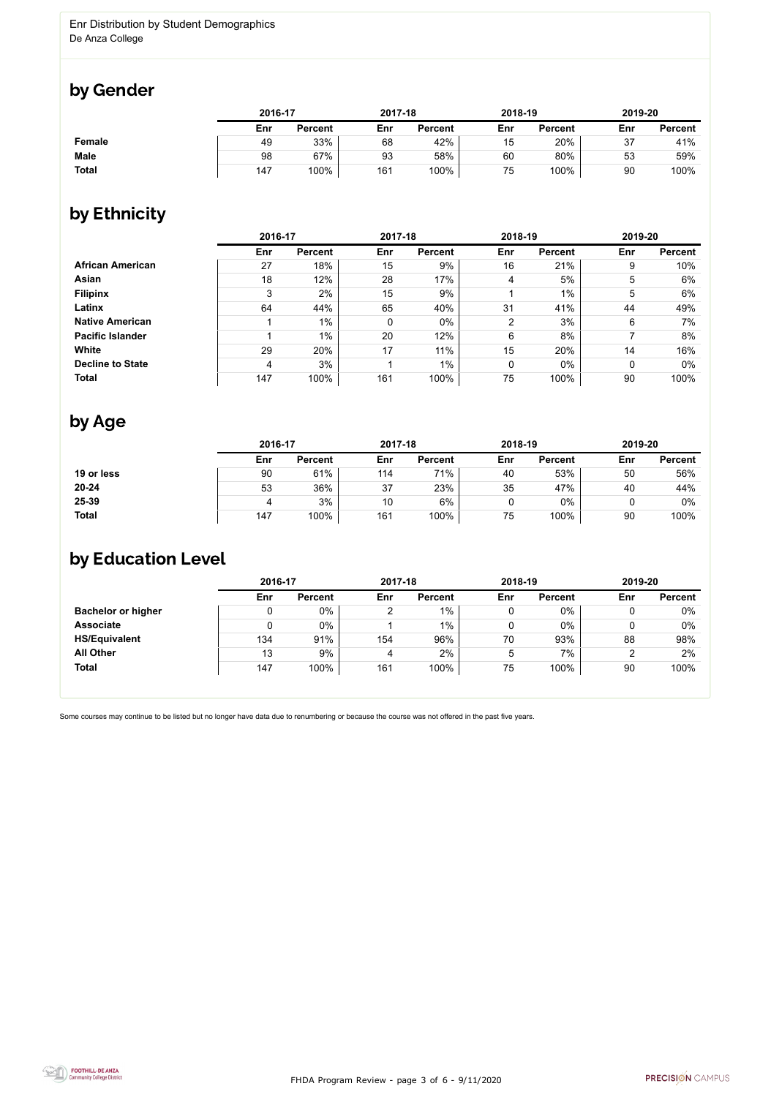FHDA Program Review - page 3 of 6 - 9/11/2020



Some courses may continue to be listed but no longer have data due to renumbering or because the course was not offered in the past five years.



## by Gender

|              | 2016-17 |                |     | 2017-18        |     | 2018-19        |     | 2019-20        |  |
|--------------|---------|----------------|-----|----------------|-----|----------------|-----|----------------|--|
|              | Enr     | <b>Percent</b> | Enr | <b>Percent</b> | Enr | <b>Percent</b> | Enr | <b>Percent</b> |  |
| Female       | 49      | 33%            | 68  | 42%            | 15  | 20%            | 37  | 41%            |  |
| <b>Male</b>  | 98      | 67%            | 93  | 58%            | 60  | 80%            | 53  | 59%            |  |
| <b>Total</b> | 147     | 100%           | 161 | 100%           | 75  | 100%           | 90  | 100%           |  |

## by Ethnicity

|                         | 2016-17 |                | 2017-18 |                | 2018-19        |                | 2019-20         |                |
|-------------------------|---------|----------------|---------|----------------|----------------|----------------|-----------------|----------------|
|                         | Enr     | <b>Percent</b> | Enr     | <b>Percent</b> | Enr            | <b>Percent</b> | Enr             | <b>Percent</b> |
| <b>African American</b> | 27      | 18%            | 15      | 9%             | 16             | 21%            | 9               | 10%            |
| Asian                   | 18      | 12%            | 28      | 17%            | 4              | 5%             | $5\phantom{.0}$ | 6%             |
| <b>Filipinx</b>         | 3       | 2%             | 15      | 9%             |                | $1\%$          | 5               | 6%             |
| Latinx                  | 64      | 44%            | 65      | 40%            | 31             | 41%            | 44              | 49%            |
| <b>Native American</b>  |         | $1\%$          | 0       | $0\%$          | $\overline{2}$ | 3%             | 6               | 7%             |
| <b>Pacific Islander</b> |         | $1\%$          | 20      | 12%            | 6              | 8%             |                 | 8%             |
| <b>White</b>            | 29      | 20%            | 17      | 11%            | 15             | 20%            | 14              | 16%            |
| <b>Decline to State</b> | 4       | 3%             |         | 1%             | 0              | $0\%$          | $\overline{0}$  | $0\%$          |
| <b>Total</b>            | 147     | 100%           | 161     | 100%           | 75             | 100%           | 90              | 100%           |

## by Age

|              |     | 2016-17        |     | 2017-18        |     | 2018-19        | 2019-20 |                |
|--------------|-----|----------------|-----|----------------|-----|----------------|---------|----------------|
|              | Enr | <b>Percent</b> | Enr | <b>Percent</b> | Enr | <b>Percent</b> | Enr     | <b>Percent</b> |
| 19 or less   | 90  | 61%            | 114 | 71%            | 40  | 53%            | 50      | 56%            |
| $20 - 24$    | 53  | 36%            | 37  | 23%            | 35  | 47%            | 40      | 44%            |
| 25-39        |     | 3%             | 10  | 6%             |     | $0\%$          |         | $0\%$          |
| <b>Total</b> | 147 | 100%           | 161 | 100%           | 75  | 100%           | 90      | 100%           |

## by Education Level

|                           | 2016-17 |                |     | 2017-18        |     | 2018-19        |                | 2019-20        |  |
|---------------------------|---------|----------------|-----|----------------|-----|----------------|----------------|----------------|--|
|                           | Enr     | <b>Percent</b> | Enr | <b>Percent</b> | Enr | <b>Percent</b> | Enr            | <b>Percent</b> |  |
| <b>Bachelor or higher</b> |         | 0%             |     | $1\%$          |     | $0\%$          |                | $0\%$          |  |
| <b>Associate</b>          |         | 0%             |     | $1\%$          | 0   | $0\%$          |                | 0%             |  |
| <b>HS/Equivalent</b>      | 134     | 91%            | 154 | 96%            | 70  | 93%            | 88             | 98%            |  |
| <b>All Other</b>          | 13      | 9%             | 4   | 2%             | 5   | 7%             | $\overline{2}$ | 2%             |  |
| <b>Total</b>              | 147     | 100%           | 161 | 100%           | 75  | 100%           | 90             | 100%           |  |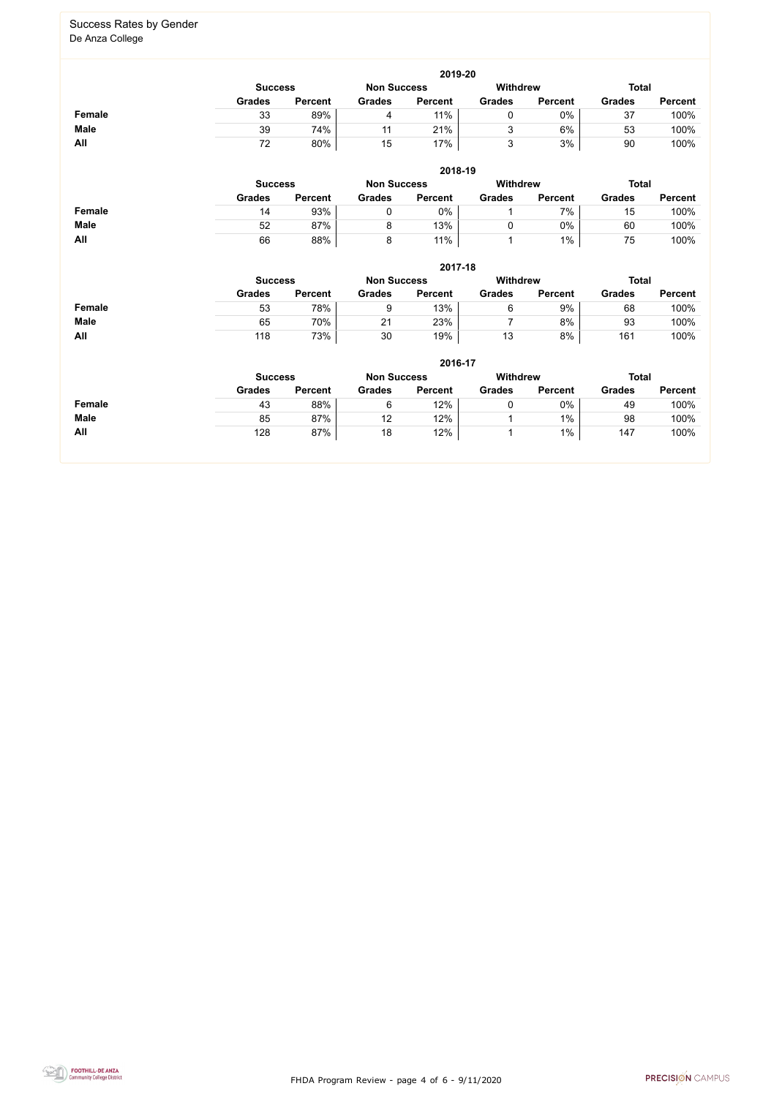FHDA Program Review - page 4 of 6 - 9/11/2020



#### Success Rates by Gender De Anza College

|               |                                                                         |                |               | 2019-20        |               |                |               |                |  |
|---------------|-------------------------------------------------------------------------|----------------|---------------|----------------|---------------|----------------|---------------|----------------|--|
|               | <b>Withdrew</b><br><b>Total</b><br><b>Non Success</b><br><b>Success</b> |                |               |                |               |                |               |                |  |
|               | <b>Grades</b>                                                           | <b>Percent</b> | <b>Grades</b> | <b>Percent</b> | <b>Grades</b> | <b>Percent</b> | <b>Grades</b> | <b>Percent</b> |  |
| <b>Female</b> | 33                                                                      | 89%            | 4             | 11%            |               | 0%             | 37            | 100%           |  |
| <b>Male</b>   | 39                                                                      | 74%            | 11            | 21%            | u             | 6%             | 53            | 100%           |  |
| All           | 72                                                                      | 80%            | 15            | 17%            | ◠             | 3%             | 90            | 100%           |  |

|             | 2018-19                                                                 |                |               |                |               |                |               |                |  |  |
|-------------|-------------------------------------------------------------------------|----------------|---------------|----------------|---------------|----------------|---------------|----------------|--|--|
|             | <b>Withdrew</b><br><b>Total</b><br><b>Non Success</b><br><b>Success</b> |                |               |                |               |                |               |                |  |  |
|             | <b>Grades</b>                                                           | <b>Percent</b> | <b>Grades</b> | <b>Percent</b> | <b>Grades</b> | <b>Percent</b> | <b>Grades</b> | <b>Percent</b> |  |  |
| Female      | 14                                                                      | 93%            |               | 0%             |               | 7%             | 15            | 100%           |  |  |
| <b>Male</b> | 52                                                                      | 87%            | 8             | 13%            |               | 0%             | 60            | 100%           |  |  |
| All         | 66                                                                      | 88%            | 8             | 11%            |               | 1%             | 75            | 100%           |  |  |

|               | 2017-18                                                 |                |               |                |               |                |               |                |  |  |
|---------------|---------------------------------------------------------|----------------|---------------|----------------|---------------|----------------|---------------|----------------|--|--|
|               | <b>Withdrew</b><br><b>Non Success</b><br><b>Success</b> |                |               |                |               |                |               | <b>Total</b>   |  |  |
|               | <b>Grades</b>                                           | <b>Percent</b> | <b>Grades</b> | <b>Percent</b> | <b>Grades</b> | <b>Percent</b> | <b>Grades</b> | <b>Percent</b> |  |  |
| <b>Female</b> | 53                                                      | 78%            |               | 13%            | 6             | 9%             | 68            | 100%           |  |  |
| <b>Male</b>   | 65                                                      | 70%            | 21            | 23%            |               | 8%             | 93            | 100%           |  |  |
| <b>All</b>    | 118                                                     | 73%            | 30            | 19%            | 13            | 8%             | 161           | 100%           |  |  |

|               |                |                |                    | 2016-17        |                 |                |               |                |
|---------------|----------------|----------------|--------------------|----------------|-----------------|----------------|---------------|----------------|
|               | <b>Success</b> |                | <b>Non Success</b> |                | <b>Withdrew</b> |                | <b>Total</b>  |                |
|               | <b>Grades</b>  | <b>Percent</b> | <b>Grades</b>      | <b>Percent</b> | <b>Grades</b>   | <b>Percent</b> | <b>Grades</b> | <b>Percent</b> |
| <b>Female</b> | 43             | 88%            | 6                  | 12%            |                 | 0%             | 49            | 100%           |
| <b>Male</b>   | 85             | 87%            | 12                 | 12%            |                 | $1\%$          | 98            | 100%           |
| All           | 128            | 87%            | 18                 | 12%            |                 | $1\%$          | 147           | 100%           |
|               |                |                |                    |                |                 |                |               |                |

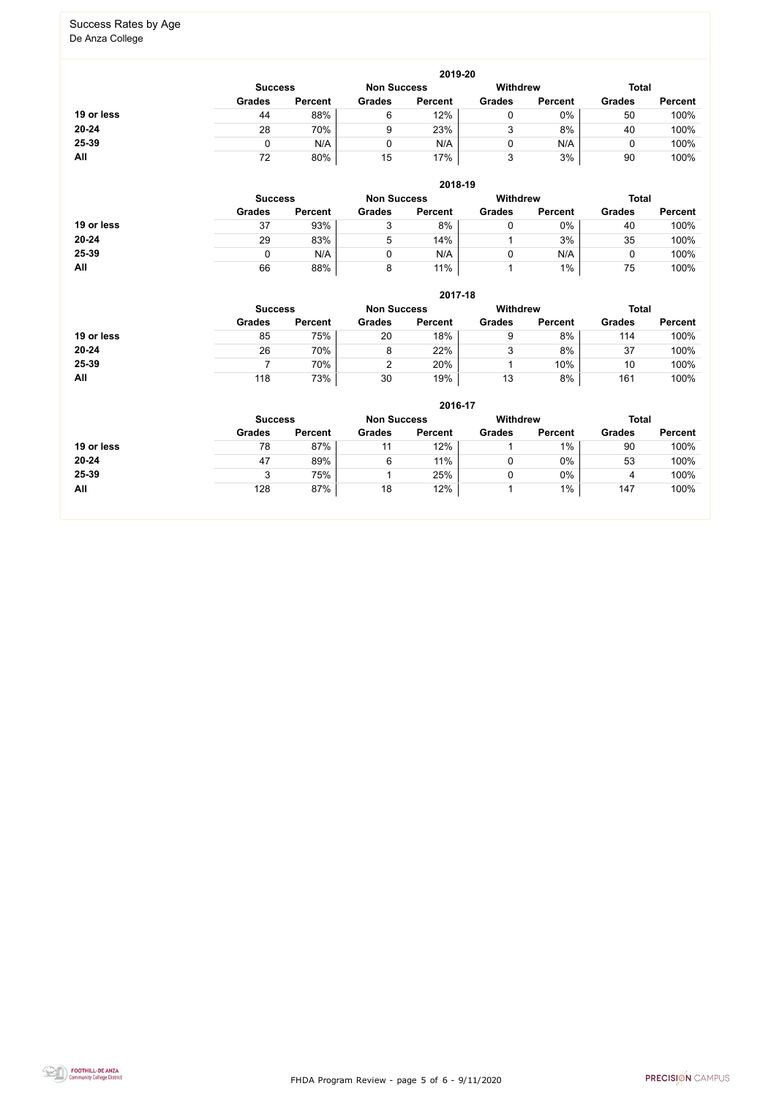FHDA Program Review - page 5 of 6 - 9/11/2020



# Success Rates by Age

De Anza College

|            |               |                |               | 2019-20            |               |                 |               |                |  |
|------------|---------------|----------------|---------------|--------------------|---------------|-----------------|---------------|----------------|--|
|            |               | <b>Success</b> |               | <b>Non Success</b> |               | <b>Withdrew</b> |               | <b>Total</b>   |  |
|            | <b>Grades</b> | <b>Percent</b> | <b>Grades</b> | <b>Percent</b>     | <b>Grades</b> | <b>Percent</b>  | <b>Grades</b> | <b>Percent</b> |  |
| 19 or less | 44            | 88%            | 6             | 12%                |               | 0%              | 50            | 100%           |  |
| 20-24      | 28            | 70%            | 9             | 23%                | J             | 8%              | 40            | 100%           |  |
| 25-39      |               | N/A            |               | N/A                |               | N/A             |               | 100%           |  |
| All        | 72            | 80%            | 15            | 17%                |               | 3%              | 90            | 100%           |  |

|            |               |                |               | 2018-19            |               |                 |               |                |
|------------|---------------|----------------|---------------|--------------------|---------------|-----------------|---------------|----------------|
|            |               | <b>Success</b> |               | <b>Non Success</b> |               | <b>Withdrew</b> | <b>Total</b>  |                |
|            | <b>Grades</b> | <b>Percent</b> | <b>Grades</b> | <b>Percent</b>     | <b>Grades</b> | <b>Percent</b>  | <b>Grades</b> | <b>Percent</b> |
| 19 or less | 37            | 93%            | 3             | 8%                 |               | $0\%$           | 40            | 100%           |
| $20 - 24$  | 29            | 83%            | 5             | 14%                |               | 3%              | 35            | 100%           |
| 25-39      |               | N/A            |               | N/A                |               | N/A             |               | 100%           |
| All        | 66            | 88%            | 8             | 11%                |               | $1\%$           | 75            | 100%           |

|            |               |                |               | 2017-18            |               |                 |               |                |
|------------|---------------|----------------|---------------|--------------------|---------------|-----------------|---------------|----------------|
|            |               | <b>Success</b> |               | <b>Non Success</b> |               | <b>Withdrew</b> | <b>Total</b>  |                |
|            | <b>Grades</b> | <b>Percent</b> | <b>Grades</b> | <b>Percent</b>     | <b>Grades</b> | <b>Percent</b>  | <b>Grades</b> | <b>Percent</b> |
| 19 or less | 85            | 75%            | 20            | 18%                | 9             | 8%              | 114           | 100%           |
| 20-24      | 26            | 70%            | 8             | 22%                | 3             | 8%              | 37            | 100%           |
| 25-39      |               | 70%            |               | 20%                |               | 10%             | 10            | 100%           |
| All        | 118           | 73%            | 30            | 19%                | 13            | 8%              | 161           | 100%           |

|            |               |                |               | 2016-17            |               |                 |               |                |  |
|------------|---------------|----------------|---------------|--------------------|---------------|-----------------|---------------|----------------|--|
|            |               | <b>Success</b> |               | <b>Non Success</b> |               | <b>Withdrew</b> |               | <b>Total</b>   |  |
|            | <b>Grades</b> | <b>Percent</b> | <b>Grades</b> | <b>Percent</b>     | <b>Grades</b> | <b>Percent</b>  | <b>Grades</b> | <b>Percent</b> |  |
| 19 or less | 78            | 87%            | 11            | 12%                |               | $1\%$           | 90            | 100%           |  |
| $20 - 24$  | 47            | 89%            | 6             | 11%                | 0             | 0%              | 53            | 100%           |  |
| 25-39      | າ<br>ບ        | 75%            |               | 25%                | 0             | 0%              | 4             | 100%           |  |
| All        | 128           | 87%            | 18            | 12%                |               | $1\%$           | 147           | 100%           |  |
|            |               |                |               |                    |               |                 |               |                |  |